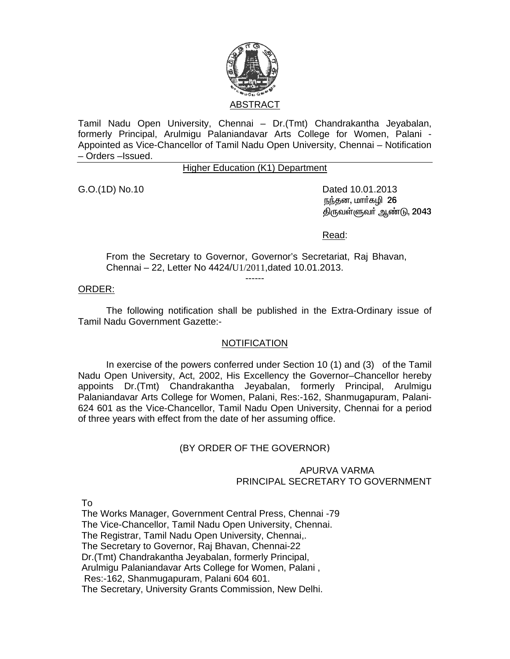

Tamil Nadu Open University, Chennai – Dr.(Tmt) Chandrakantha Jeyabalan, formerly Principal, Arulmigu Palaniandavar Arts College for Women, Palani - Appointed as Vice-Chancellor of Tamil Nadu Open University, Chennai – Notification – Orders –Issued.

Higher Education (K1) Department

G.O.(1D) No.10 Dated 10.01.2013 நந்தன, மார்கழி 26 திருவள்ளுவா் ஆண்டு, 2043

Read:

From the Secretary to Governor, Governor's Secretariat, Raj Bhavan, Chennai – 22, Letter No 4424/U1/2011,dated 10.01.2013.

#### ------

### ORDER:

 The following notification shall be published in the Extra-Ordinary issue of Tamil Nadu Government Gazette:-

#### **NOTIFICATION**

 In exercise of the powers conferred under Section 10 (1) and (3) of the Tamil Nadu Open University, Act, 2002, His Excellency the Governor–Chancellor hereby appoints Dr.(Tmt) Chandrakantha Jeyabalan, formerly Principal, Arulmigu Palaniandavar Arts College for Women, Palani, Res:-162, Shanmugapuram, Palani-624 601 as the Vice-Chancellor, Tamil Nadu Open University, Chennai for a period of three years with effect from the date of her assuming office.

# (BY ORDER OF THE GOVERNOR)

## APURVA VARMA PRINCIPAL SECRETARY TO GOVERNMENT

To

The Works Manager, Government Central Press, Chennai -79 The Vice-Chancellor, Tamil Nadu Open University, Chennai. The Registrar, Tamil Nadu Open University, Chennai,. The Secretary to Governor, Raj Bhavan, Chennai-22 Dr.(Tmt) Chandrakantha Jeyabalan, formerly Principal, Arulmigu Palaniandavar Arts College for Women, Palani , Res:-162, Shanmugapuram, Palani 604 601. The Secretary, University Grants Commission, New Delhi.